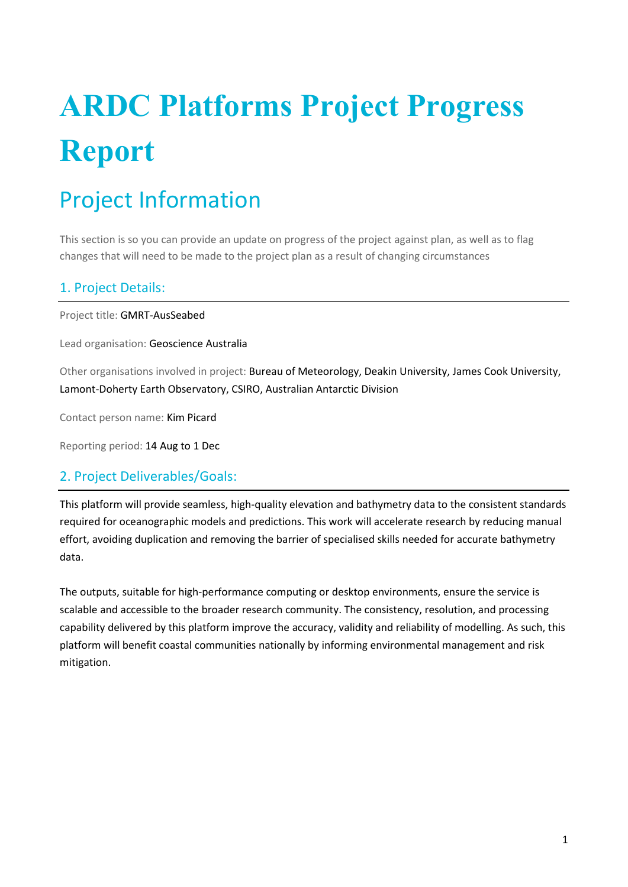# **ARDC Platforms Project Progress Report**

# Project Information

This section is so you can provide an update on progress of the project against plan, as well as to flag changes that will need to be made to the project plan as a result of changing circumstances

### 1. Project Details:

Project title: GMRT-AusSeabed

Lead organisation: Geoscience Australia

Other organisations involved in project: Bureau of Meteorology, Deakin University, James Cook University, Lamont-Doherty Earth Observatory, CSIRO, Australian Antarctic Division

Contact person name: Kim Picard

Reporting period: 14 Aug to 1 Dec

### 2. Project Deliverables/Goals:

This platform will provide seamless, high-quality elevation and bathymetry data to the consistent standards required for oceanographic models and predictions. This work will accelerate research by reducing manual effort, avoiding duplication and removing the barrier of specialised skills needed for accurate bathymetry data.

The outputs, suitable for high-performance computing or desktop environments, ensure the service is scalable and accessible to the broader research community. The consistency, resolution, and processing capability delivered by this platform improve the accuracy, validity and reliability of modelling. As such, this platform will benefit coastal communities nationally by informing environmental management and risk mitigation.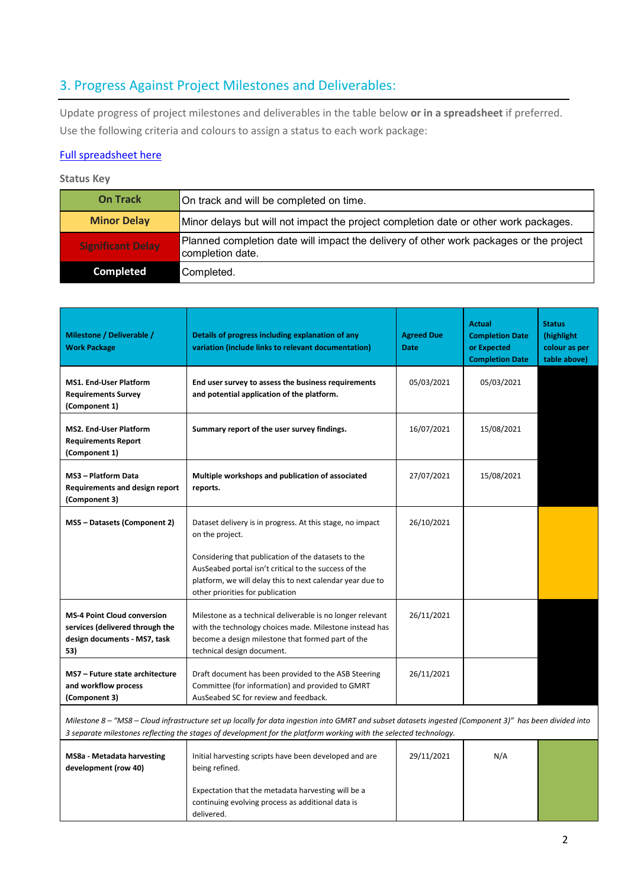### 3. Progress Against Project Milestones and Deliverables:

Update progress of project milestones and deliverables in the table below **or in a spreadsheet** if preferred. Use the following criteria and colours to assign a status to each work package:

### [Full spreadsheet here](https://teams.microsoft.com/l/file/61BF9D5B-1241-47A2-AA05-EE2530C8B8D3?tenantId=645b613a-a64c-4250-975f-5f69787d028d&fileType=xlsx&objectUrl=https%3A%2F%2Fgeoscienceau.sharepoint.com%2Fsites%2FAusSeabed%2FShared%20Documents%2FGMRT-AusSeabed%2FAdmin%2FProject%20Plan%2FARDC%20GMRT%20AusSeabed%20Platform_Project%20Plan%20v.1.5.xlsx&baseUrl=https%3A%2F%2Fgeoscienceau.sharepoint.com%2Fsites%2FAusSeabed&serviceName=teams&threadId=19:9d150386344b43c68ec39255bbf37f22@thread.tacv2&groupId=6317f8c7-2fd1-41a9-8f53-557cb42c9798)

#### **Status Key**

| <b>On Track</b>          | On track and will be completed on time.                                                                    |
|--------------------------|------------------------------------------------------------------------------------------------------------|
| <b>Minor Delay</b>       | Minor delays but will not impact the project completion date or other work packages.                       |
| <b>Significant Delay</b> | Planned completion date will impact the delivery of other work packages or the project<br>completion date. |
| <b>Completed</b>         | Completed.                                                                                                 |

| Milestone / Deliverable /<br><b>Work Package</b>                                                             | Details of progress including explanation of any<br>variation (include links to relevant documentation)                                                                                                       | <b>Agreed Due</b><br><b>Date</b> | <b>Actual</b><br><b>Completion Date</b><br>or Expected<br><b>Completion Date</b> | <b>Status</b><br>(highlight<br>colour as per<br>table above) |
|--------------------------------------------------------------------------------------------------------------|---------------------------------------------------------------------------------------------------------------------------------------------------------------------------------------------------------------|----------------------------------|----------------------------------------------------------------------------------|--------------------------------------------------------------|
| <b>MS1. End-User Platform</b><br><b>Requirements Survey</b><br>(Component 1)                                 | End user survey to assess the business requirements<br>and potential application of the platform.                                                                                                             | 05/03/2021                       | 05/03/2021                                                                       |                                                              |
| MS2. End-User Platform<br><b>Requirements Report</b><br>(Component 1)                                        | Summary report of the user survey findings.                                                                                                                                                                   | 16/07/2021                       | 15/08/2021                                                                       |                                                              |
| MS3 - Platform Data<br><b>Requirements and design report</b><br>(Component 3)                                | Multiple workshops and publication of associated<br>reports.                                                                                                                                                  | 27/07/2021                       | 15/08/2021                                                                       |                                                              |
| MS5 - Datasets (Component 2)                                                                                 | Dataset delivery is in progress. At this stage, no impact<br>on the project.                                                                                                                                  | 26/10/2021                       |                                                                                  |                                                              |
|                                                                                                              | Considering that publication of the datasets to the<br>AusSeabed portal isn't critical to the success of the<br>platform, we will delay this to next calendar year due to<br>other priorities for publication |                                  |                                                                                  |                                                              |
| <b>MS-4 Point Cloud conversion</b><br>services (delivered through the<br>design documents - MS7, task<br>53) | Milestone as a technical deliverable is no longer relevant<br>with the technology choices made. Milestone instead has<br>become a design milestone that formed part of the<br>technical design document.      | 26/11/2021                       |                                                                                  |                                                              |
| MS7 - Future state architecture<br>and workflow process<br>(Component 3)                                     | Draft document has been provided to the ASB Steering<br>Committee (for information) and provided to GMRT<br>AusSeabed SC for review and feedback.                                                             | 26/11/2021                       |                                                                                  |                                                              |
|                                                                                                              | Milestone 8 - "MS8 - Cloud infrastructure set up locally for data ingestion into GMRT and subset datasets ingested (Component 3)" has been divided into                                                       |                                  |                                                                                  |                                                              |

*3 separate milestones reflecting the stages of development for the platform working with the selected technology.* 

| MS8a - Metadata harvesting<br>development (row 40) | Initial harvesting scripts have been developed and are<br>being refined.                                              | 29/11/2021 | N/A |  |
|----------------------------------------------------|-----------------------------------------------------------------------------------------------------------------------|------------|-----|--|
|                                                    | Expectation that the metadata harvesting will be a<br>continuing evolving process as additional data is<br>delivered. |            |     |  |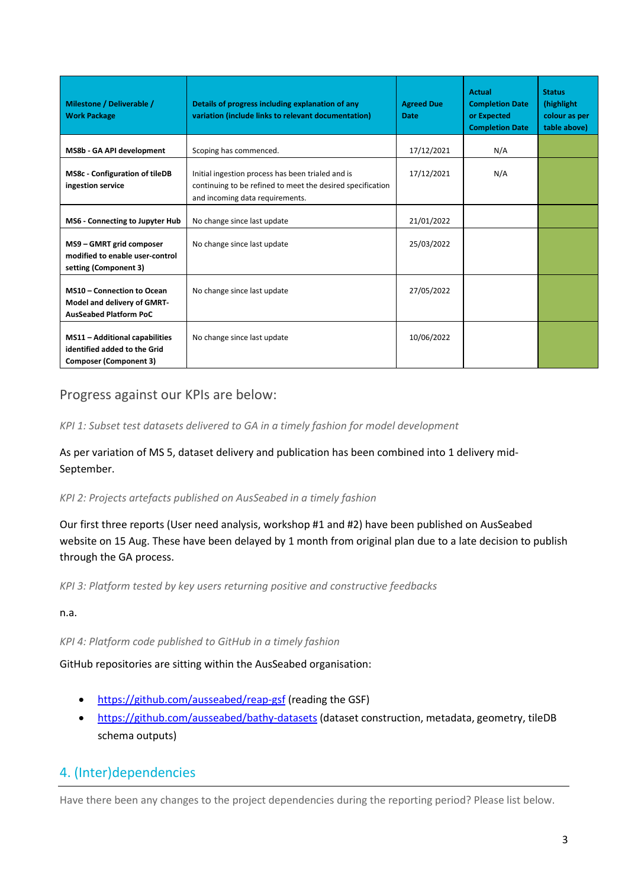| Milestone / Deliverable /<br><b>Work Package</b>                                                       | Details of progress including explanation of any<br>variation (include links to relevant documentation)                                            | <b>Agreed Due</b><br>Date | <b>Actual</b><br><b>Completion Date</b><br>or Expected<br><b>Completion Date</b> | <b>Status</b><br>(highlight)<br>colour as per<br>table above) |
|--------------------------------------------------------------------------------------------------------|----------------------------------------------------------------------------------------------------------------------------------------------------|---------------------------|----------------------------------------------------------------------------------|---------------------------------------------------------------|
| MS8b - GA API development                                                                              | Scoping has commenced.                                                                                                                             | 17/12/2021                | N/A                                                                              |                                                               |
| <b>MS8c - Configuration of tileDB</b><br>ingestion service                                             | Initial ingestion process has been trialed and is<br>continuing to be refined to meet the desired specification<br>and incoming data requirements. | 17/12/2021                | N/A                                                                              |                                                               |
| MS6 - Connecting to Jupyter Hub                                                                        | No change since last update                                                                                                                        | 21/01/2022                |                                                                                  |                                                               |
| MS9 - GMRT grid composer<br>modified to enable user-control<br>setting (Component 3)                   | No change since last update                                                                                                                        | 25/03/2022                |                                                                                  |                                                               |
| MS10 - Connection to Ocean<br>Model and delivery of GMRT-<br><b>AusSeabed Platform PoC</b>             | No change since last update                                                                                                                        | 27/05/2022                |                                                                                  |                                                               |
| <b>MS11 - Additional capabilities</b><br>identified added to the Grid<br><b>Composer (Component 3)</b> | No change since last update                                                                                                                        | 10/06/2022                |                                                                                  |                                                               |

### Progress against our KPIs are below:

*KPI 1: Subset test datasets delivered to GA in a timely fashion for model development* 

As per variation of MS 5, dataset delivery and publication has been combined into 1 delivery mid-September.

#### *KPI 2: Projects artefacts published on AusSeabed in a timely fashion*

Our first three reports (User need analysis, workshop #1 and #2) have been published on AusSeabed website on 15 Aug. These have been delayed by 1 month from original plan due to a late decision to publish through the GA process.

*KPI 3: Platform tested by key users returning positive and constructive feedbacks* 

n.a.

*KPI 4: Platform code published to GitHub in a timely fashion* 

GitHub repositories are sitting within the AusSeabed organisation:

- <https://github.com/ausseabed/reap-gsf> (reading the GSF)
- <https://github.com/ausseabed/bathy-datasets> (dataset construction, metadata, geometry, tileDB schema outputs)

### 4. (Inter)dependencies

Have there been any changes to the project dependencies during the reporting period? Please list below.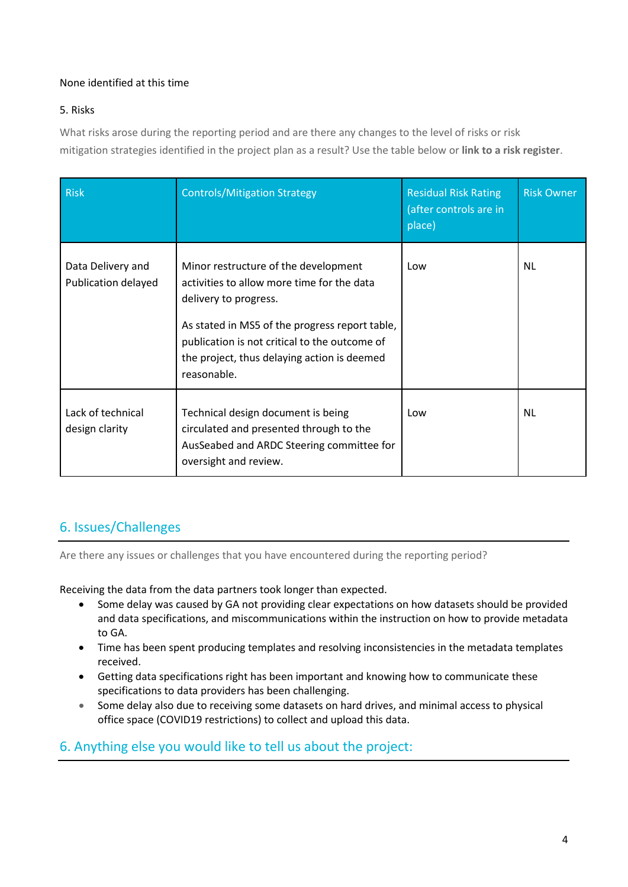### None identified at this time

### 5. Risks

What risks arose during the reporting period and are there any changes to the level of risks or risk mitigation strategies identified in the project plan as a result? Use the table below or **link to a risk register**.

| <b>Risk</b>                              | <b>Controls/Mitigation Strategy</b>                                                                                                                                                                                                                                          | <b>Residual Risk Rating</b><br>(after controls are in<br>place) | <b>Risk Owner</b> |
|------------------------------------------|------------------------------------------------------------------------------------------------------------------------------------------------------------------------------------------------------------------------------------------------------------------------------|-----------------------------------------------------------------|-------------------|
| Data Delivery and<br>Publication delayed | Minor restructure of the development<br>activities to allow more time for the data<br>delivery to progress.<br>As stated in MS5 of the progress report table,<br>publication is not critical to the outcome of<br>the project, thus delaying action is deemed<br>reasonable. | Low                                                             | <b>NL</b>         |
| Lack of technical<br>design clarity      | Technical design document is being<br>circulated and presented through to the<br>AusSeabed and ARDC Steering committee for<br>oversight and review.                                                                                                                          | Low                                                             | <b>NL</b>         |

## 6. Issues/Challenges

Are there any issues or challenges that you have encountered during the reporting period?

Receiving the data from the data partners took longer than expected.

- Some delay was caused by GA not providing clear expectations on how datasets should be provided and data specifications, and miscommunications within the instruction on how to provide metadata to GA.
- Time has been spent producing templates and resolving inconsistencies in the metadata templates received.
- Getting data specifications right has been important and knowing how to communicate these specifications to data providers has been challenging.
- Some delay also due to receiving some datasets on hard drives, and minimal access to physical office space (COVID19 restrictions) to collect and upload this data.

### 6. Anything else you would like to tell us about the project: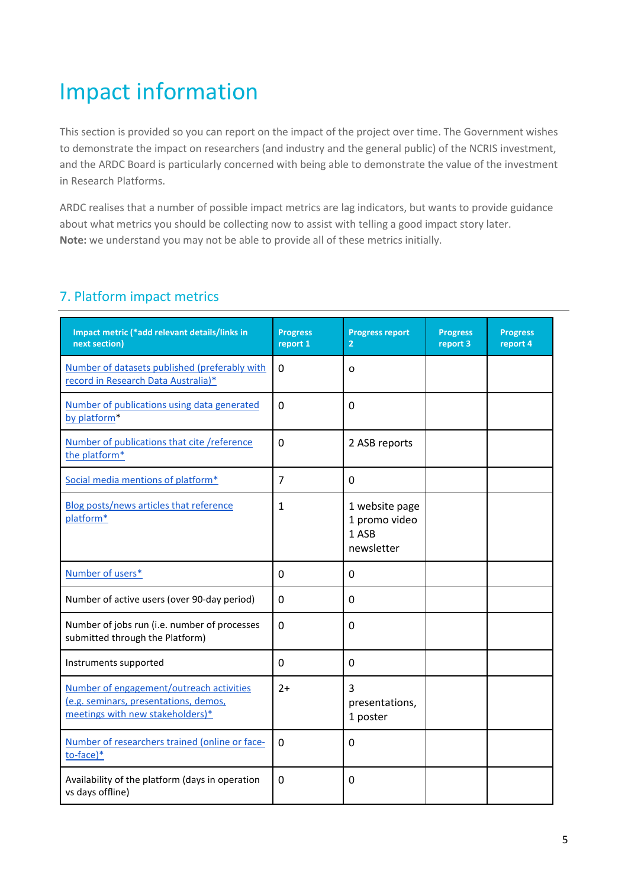# Impact information

This section is provided so you can report on the impact of the project over time. The Government wishes to demonstrate the impact on researchers (and industry and the general public) of the NCRIS investment, and the ARDC Board is particularly concerned with being able to demonstrate the value of the investment in Research Platforms.

ARDC realises that a number of possible impact metrics are lag indicators, but wants to provide guidance about what metrics you should be collecting now to assist with telling a good impact story later. **Note:** we understand you may not be able to provide all of these metrics initially.

### 7. Platform impact metrics

| Impact metric (*add relevant details/links in<br>next section)                                                        | <b>Progress</b><br>report 1 | <b>Progress report</b><br>$\overline{2}$               | <b>Progress</b><br>report 3 | <b>Progress</b><br>report 4 |
|-----------------------------------------------------------------------------------------------------------------------|-----------------------------|--------------------------------------------------------|-----------------------------|-----------------------------|
| Number of datasets published (preferably with<br>record in Research Data Australia)*                                  | 0                           | $\Omega$                                               |                             |                             |
| Number of publications using data generated<br>by platform*                                                           | $\mathbf 0$                 | $\mathbf 0$                                            |                             |                             |
| Number of publications that cite /reference<br>the platform*                                                          | $\mathbf{0}$                | 2 ASB reports                                          |                             |                             |
| Social media mentions of platform*                                                                                    | $\overline{7}$              | 0                                                      |                             |                             |
| Blog posts/news articles that reference<br>platform*                                                                  | 1                           | 1 website page<br>1 promo video<br>1 ASB<br>newsletter |                             |                             |
| Number of users*                                                                                                      | 0                           | $\mathbf 0$                                            |                             |                             |
| Number of active users (over 90-day period)                                                                           | 0                           | 0                                                      |                             |                             |
| Number of jobs run (i.e. number of processes<br>submitted through the Platform)                                       | 0                           | $\mathbf 0$                                            |                             |                             |
| Instruments supported                                                                                                 | 0                           | 0                                                      |                             |                             |
| Number of engagement/outreach activities<br>(e.g. seminars, presentations, demos,<br>meetings with new stakeholders)* | $2+$                        | $\overline{3}$<br>presentations,<br>1 poster           |                             |                             |
| Number of researchers trained (online or face-<br>to-face)*                                                           | $\mathbf 0$                 | $\mathbf 0$                                            |                             |                             |
| Availability of the platform (days in operation<br>vs days offline)                                                   | 0                           | $\mathbf 0$                                            |                             |                             |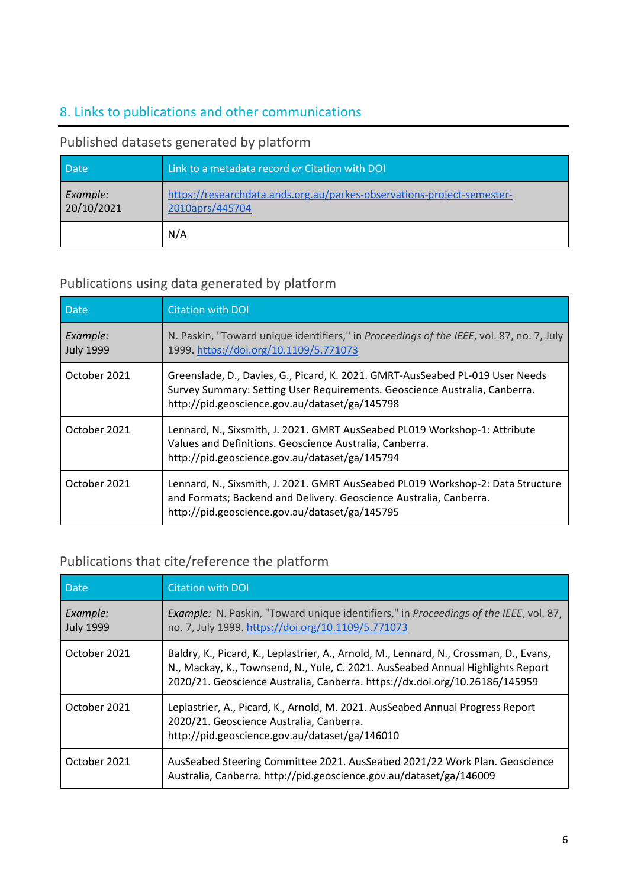# 8. Links to publications and other communications

### <span id="page-5-0"></span>Published datasets generated by platform

| <b>Date</b>            | Link to a metadata record or Citation with DOI                                            |
|------------------------|-------------------------------------------------------------------------------------------|
| Example:<br>20/10/2021 | https://researchdata.ands.org.au/parkes-observations-project-semester-<br>2010aprs/445704 |
|                        | N/A                                                                                       |

### <span id="page-5-1"></span>Publications using data generated by platform

| <b>Date</b>                  | <b>Citation with DOI</b>                                                                                                                                                                                      |
|------------------------------|---------------------------------------------------------------------------------------------------------------------------------------------------------------------------------------------------------------|
| Example:<br><b>July 1999</b> | N. Paskin, "Toward unique identifiers," in Proceedings of the IEEE, vol. 87, no. 7, July<br>1999. https://doi.org/10.1109/5.771073                                                                            |
| October 2021                 | Greenslade, D., Davies, G., Picard, K. 2021. GMRT-AusSeabed PL-019 User Needs<br>Survey Summary: Setting User Requirements. Geoscience Australia, Canberra.<br>http://pid.geoscience.gov.au/dataset/ga/145798 |
| October 2021                 | Lennard, N., Sixsmith, J. 2021. GMRT AusSeabed PL019 Workshop-1: Attribute<br>Values and Definitions. Geoscience Australia, Canberra.<br>http://pid.geoscience.gov.au/dataset/ga/145794                       |
| October 2021                 | Lennard, N., Sixsmith, J. 2021. GMRT AusSeabed PL019 Workshop-2: Data Structure<br>and Formats; Backend and Delivery. Geoscience Australia, Canberra.<br>http://pid.geoscience.gov.au/dataset/ga/145795       |

## <span id="page-5-2"></span>Publications that cite/reference the platform

| <b>Date</b>                  | <b>Citation with DOI</b>                                                                                                                                                                                                                                 |
|------------------------------|----------------------------------------------------------------------------------------------------------------------------------------------------------------------------------------------------------------------------------------------------------|
| Example:<br><b>July 1999</b> | Example: N. Paskin, "Toward unique identifiers," in Proceedings of the IEEE, vol. 87,<br>no. 7, July 1999. https://doi.org/10.1109/5.771073                                                                                                              |
| October 2021                 | Baldry, K., Picard, K., Leplastrier, A., Arnold, M., Lennard, N., Crossman, D., Evans,<br>N., Mackay, K., Townsend, N., Yule, C. 2021. AusSeabed Annual Highlights Report<br>2020/21. Geoscience Australia, Canberra. https://dx.doi.org/10.26186/145959 |
| October 2021                 | Leplastrier, A., Picard, K., Arnold, M. 2021. AusSeabed Annual Progress Report<br>2020/21. Geoscience Australia, Canberra.<br>http://pid.geoscience.gov.au/dataset/ga/146010                                                                             |
| October 2021                 | AusSeabed Steering Committee 2021. AusSeabed 2021/22 Work Plan. Geoscience<br>Australia, Canberra. http://pid.geoscience.gov.au/dataset/ga/146009                                                                                                        |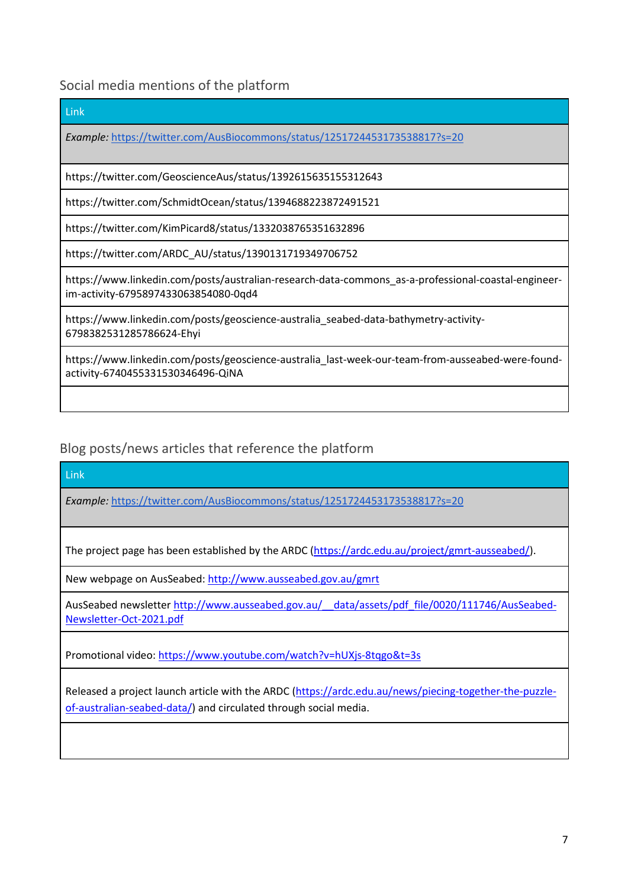<span id="page-6-0"></span>Social media mentions of the platform

| Link                                                                                                                                        |
|---------------------------------------------------------------------------------------------------------------------------------------------|
| Example: https://twitter.com/AusBiocommons/status/1251724453173538817?s=20                                                                  |
|                                                                                                                                             |
| https://twitter.com/GeoscienceAus/status/1392615635155312643                                                                                |
| https://twitter.com/SchmidtOcean/status/1394688223872491521                                                                                 |
| https://twitter.com/KimPicard8/status/1332038765351632896                                                                                   |
| https://twitter.com/ARDC_AU/status/1390131719349706752                                                                                      |
| https://www.linkedin.com/posts/australian-research-data-commons_as-a-professional-coastal-engineer-<br>im-activity-6795897433063854080-0qd4 |
| https://www.linkedin.com/posts/geoscience-australia_seabed-data-bathymetry-activity-<br>6798382531285786624-Ehyi                            |
| https://www.linkedin.com/posts/geoscience-australia_last-week-our-team-from-ausseabed-were-found-<br>activity-6740455331530346496-QiNA      |
|                                                                                                                                             |
|                                                                                                                                             |

<span id="page-6-1"></span>Blog posts/news articles that reference the platform

Link

*Example:* <https://twitter.com/AusBiocommons/status/1251724453173538817?s=20>

The project page has been established by the ARDC [\(https://ardc.edu.au/project/gmrt-ausseabed/\)](https://ardc.edu.au/project/gmrt-ausseabed/).

New webpage on AusSeabed:<http://www.ausseabed.gov.au/gmrt>

AusSeabed newsletter http://www.ausseabed.gov.au/ data/assets/pdf file/0020/111746/AusSeabed-[Newsletter-Oct-2021.pdf](http://www.ausseabed.gov.au/__data/assets/pdf_file/0020/111746/AusSeabed-Newsletter-Oct-2021.pdf)

Promotional video:<https://www.youtube.com/watch?v=hUXjs-8tqgo&t=3s>

Released a project launch article with the ARDC [\(https://ardc.edu.au/news/piecing-together-the-puzzle](https://ardc.edu.au/news/piecing-together-the-puzzle-of-australian-seabed-data/)[of-australian-seabed-data/\)](https://ardc.edu.au/news/piecing-together-the-puzzle-of-australian-seabed-data/) and circulated through social media.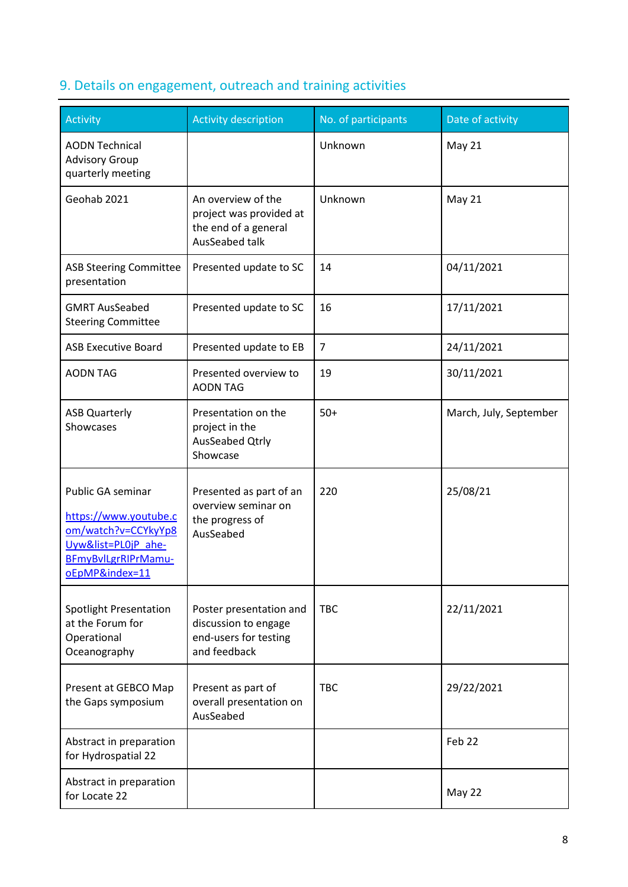# <span id="page-7-0"></span>9. Details on engagement, outreach and training activities

| <b>Activity</b>                                                                                                                   | <b>Activity description</b>                                                              | No. of participants | Date of activity       |
|-----------------------------------------------------------------------------------------------------------------------------------|------------------------------------------------------------------------------------------|---------------------|------------------------|
| <b>AODN Technical</b><br><b>Advisory Group</b><br>quarterly meeting                                                               |                                                                                          | Unknown             | May 21                 |
| Geohab 2021                                                                                                                       | An overview of the<br>project was provided at<br>the end of a general<br>AusSeabed talk  | Unknown             | <b>May 21</b>          |
| <b>ASB Steering Committee</b><br>presentation                                                                                     | Presented update to SC                                                                   | 14                  | 04/11/2021             |
| <b>GMRT AusSeabed</b><br><b>Steering Committee</b>                                                                                | Presented update to SC                                                                   | 16                  | 17/11/2021             |
| <b>ASB Executive Board</b>                                                                                                        | Presented update to EB                                                                   | $\overline{7}$      | 24/11/2021             |
| <b>AODN TAG</b>                                                                                                                   | Presented overview to<br><b>AODN TAG</b>                                                 | 19                  | 30/11/2021             |
| <b>ASB Quarterly</b><br>Showcases                                                                                                 | Presentation on the<br>project in the<br>AusSeabed Qtrly<br>Showcase                     | $50+$               | March, July, September |
| Public GA seminar<br>https://www.youtube.c<br>om/watch?v=CCYkyYp8<br>Uyw&list=PL0jP_ahe-<br>BFmyBvlLgrRIPrMamu-<br>oEpMP&index=11 | Presented as part of an<br>overview seminar on<br>the progress of<br>AusSeabed           | 220                 | 25/08/21               |
| Spotlight Presentation<br>at the Forum for<br>Operational<br>Oceanography                                                         | Poster presentation and<br>discussion to engage<br>end-users for testing<br>and feedback | <b>TBC</b>          | 22/11/2021             |
| Present at GEBCO Map<br>the Gaps symposium                                                                                        | Present as part of<br>overall presentation on<br>AusSeabed                               | <b>TBC</b>          | 29/22/2021             |
| Abstract in preparation<br>for Hydrospatial 22                                                                                    |                                                                                          |                     | Feb <sub>22</sub>      |
| Abstract in preparation<br>for Locate 22                                                                                          |                                                                                          |                     | May 22                 |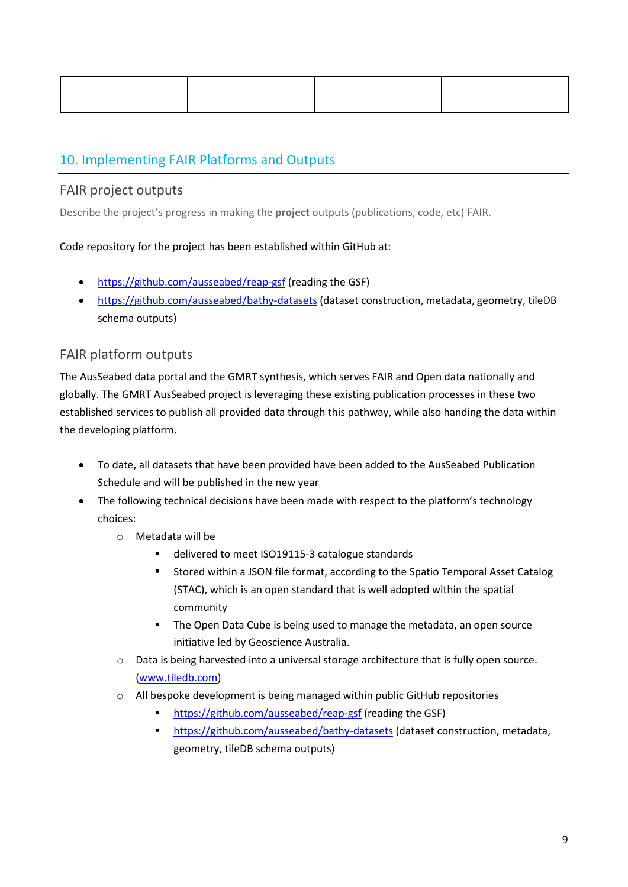# 10. Implementing FAIR Platforms and Outputs

### FAIR project outputs

Describe the project's progress in making the **project** outputs (publications, code, etc) FAIR.

### Code repository for the project has been established within GitHub at:

- <https://github.com/ausseabed/reap-gsf> (reading the GSF)
- <https://github.com/ausseabed/bathy-datasets> (dataset construction, metadata, geometry, tileDB schema outputs)

### FAIR platform outputs

The AusSeabed data portal and the GMRT synthesis, which serves FAIR and Open data nationally and globally. The GMRT AusSeabed project is leveraging these existing publication processes in these two established services to publish all provided data through this pathway, while also handing the data within the developing platform.

- To date, all datasets that have been provided have been added to the AusSeabed Publication Schedule and will be published in the new year
- The following technical decisions have been made with respect to the platform's technology choices:
	- o Metadata will be
		- delivered to meet ISO19115-3 catalogue standards
		- **Stored within a JSON file format, according to the Spatio Temporal Asset Catalog** (STAC), which is an open standard that is well adopted within the spatial community
		- **The Open Data Cube is being used to manage the metadata, an open source** initiative led by Geoscience Australia.
	- o Data is being harvested into a universal storage architecture that is fully open source. [\(www.tiledb.com\)](http://www.tiledb.com/)
	- o All bespoke development is being managed within public GitHub repositories
		- **<https://github.com/ausseabed/reap-gsf> (reading the GSF)**
		- <https://github.com/ausseabed/bathy-datasets> (dataset construction, metadata, geometry, tileDB schema outputs)